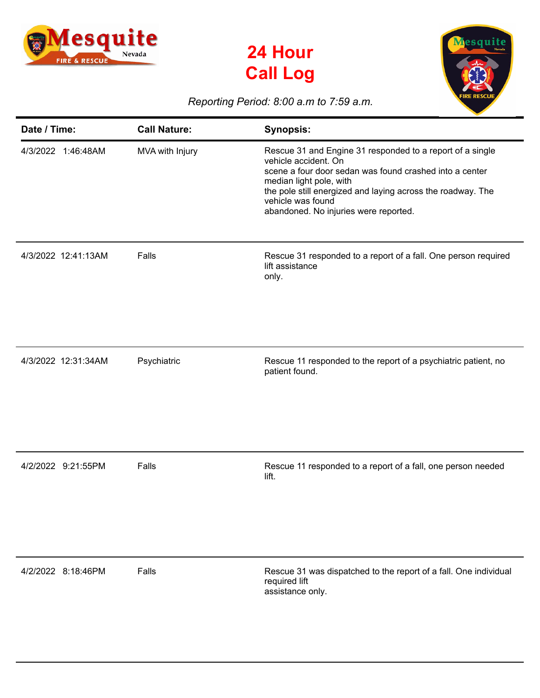





## *Reporting Period: 8:00 a.m to 7:59 a.m.*

| Date / Time:        | <b>Call Nature:</b> | <b>Synopsis:</b>                                                                                                                                                                                                                                                                                     |
|---------------------|---------------------|------------------------------------------------------------------------------------------------------------------------------------------------------------------------------------------------------------------------------------------------------------------------------------------------------|
| 4/3/2022 1:46:48AM  | MVA with Injury     | Rescue 31 and Engine 31 responded to a report of a single<br>vehicle accident. On<br>scene a four door sedan was found crashed into a center<br>median light pole, with<br>the pole still energized and laying across the roadway. The<br>vehicle was found<br>abandoned. No injuries were reported. |
| 4/3/2022 12:41:13AM | Falls               | Rescue 31 responded to a report of a fall. One person required<br>lift assistance<br>only.                                                                                                                                                                                                           |
| 4/3/2022 12:31:34AM | Psychiatric         | Rescue 11 responded to the report of a psychiatric patient, no<br>patient found.                                                                                                                                                                                                                     |
| 4/2/2022 9:21:55PM  | Falls               | Rescue 11 responded to a report of a fall, one person needed<br>lift.                                                                                                                                                                                                                                |
| 4/2/2022 8:18:46PM  | Falls               | Rescue 31 was dispatched to the report of a fall. One individual<br>required lift<br>assistance only.                                                                                                                                                                                                |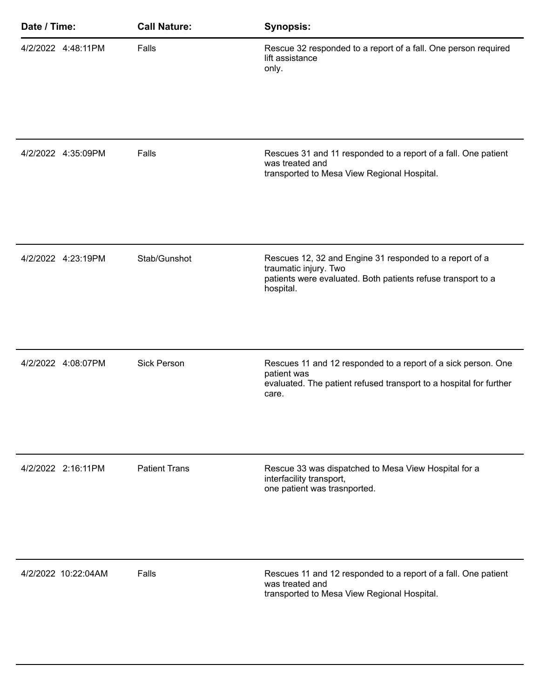| Date / Time:        | <b>Call Nature:</b>  | <b>Synopsis:</b>                                                                                                                                              |
|---------------------|----------------------|---------------------------------------------------------------------------------------------------------------------------------------------------------------|
| 4/2/2022 4:48:11PM  | Falls                | Rescue 32 responded to a report of a fall. One person required<br>lift assistance<br>only.                                                                    |
| 4/2/2022 4:35:09PM  | Falls                | Rescues 31 and 11 responded to a report of a fall. One patient<br>was treated and<br>transported to Mesa View Regional Hospital.                              |
| 4/2/2022 4:23:19PM  | Stab/Gunshot         | Rescues 12, 32 and Engine 31 responded to a report of a<br>traumatic injury. Two<br>patients were evaluated. Both patients refuse transport to a<br>hospital. |
| 4/2/2022 4:08:07PM  | <b>Sick Person</b>   | Rescues 11 and 12 responded to a report of a sick person. One<br>patient was<br>evaluated. The patient refused transport to a hospital for further<br>care.   |
| 4/2/2022 2:16:11PM  | <b>Patient Trans</b> | Rescue 33 was dispatched to Mesa View Hospital for a<br>interfacility transport,<br>one patient was trasnported.                                              |
| 4/2/2022 10:22:04AM | Falls                | Rescues 11 and 12 responded to a report of a fall. One patient<br>was treated and<br>transported to Mesa View Regional Hospital.                              |